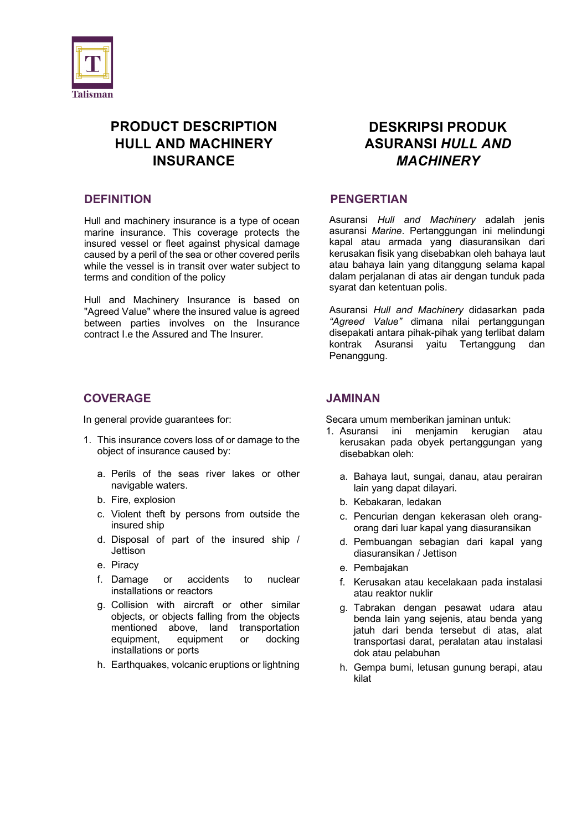

# **PRODUCT DESCRIPTION HULL AND MACHINERY INSURANCE**

#### **DEFINITION**

Hull and machinery insurance is a type of ocean marine insurance. This coverage protects the insured vessel or fleet against physical damage caused by a peril of the sea or other covered perils while the vessel is in transit over water subject to terms and condition of the policy

Hull and Machinery Insurance is based on "Agreed Value" where the insured value is agreed between parties involves on the Insurance contract I.e the Assured and The Insurer.

## **COVERAGE**

In general provide guarantees for:

- 1. This insurance covers loss of or damage to the object of insurance caused by:
	- a. Perils of the seas river lakes or other navigable waters.
	- b. Fire, explosion
	- c. Violent theft by persons from outside the insured ship
	- d. Disposal of part of the insured ship / **Jettison**
	- e. Piracy
	- f. Damage or accidents to nuclear installations or reactors
	- g. Collision with aircraft or other similar objects, or objects falling from the objects mentioned above, land transportation equipment, equipment or docking installations or ports
	- h. Earthquakes, volcanic eruptions or lightning

# **DESKRIPSI PRODUK ASURANSI** *HULL AND MACHINERY*

#### **PENGERTIAN**

Asuransi *Hull and Machinery* adalah jenis asuransi *Marine*. Pertanggungan ini melindungi kapal atau armada yang diasuransikan dari kerusakan fisik yang disebabkan oleh bahaya laut atau bahaya lain yang ditanggung selama kapal dalam perjalanan di atas air dengan tunduk pada syarat dan ketentuan polis.

Asuransi *Hull and Machinery* didasarkan pada *"Agreed Value"* dimana nilai pertanggungan disepakati antara pihak-pihak yang terlibat dalam kontrak Asuransi yaitu Tertanggung dan Penanggung.

#### **JAMINAN**

Secara umum memberikan jaminan untuk:

- 1. Asuransi ini menjamin kerugian atau kerusakan pada obyek pertanggungan yang disebabkan oleh:
	- a. Bahaya laut, sungai, danau, atau perairan lain yang dapat dilayari.
	- b. Kebakaran, ledakan
	- c. Pencurian dengan kekerasan oleh orangorang dari luar kapal yang diasuransikan
	- d. Pembuangan sebagian dari kapal yang diasuransikan / Jettison
	- e. Pembajakan
	- f. Kerusakan atau kecelakaan pada instalasi atau reaktor nuklir
	- g. Tabrakan dengan pesawat udara atau benda lain yang sejenis, atau benda yang jatuh dari benda tersebut di atas, alat transportasi darat, peralatan atau instalasi dok atau pelabuhan
	- h. Gempa bumi, letusan gunung berapi, atau kilat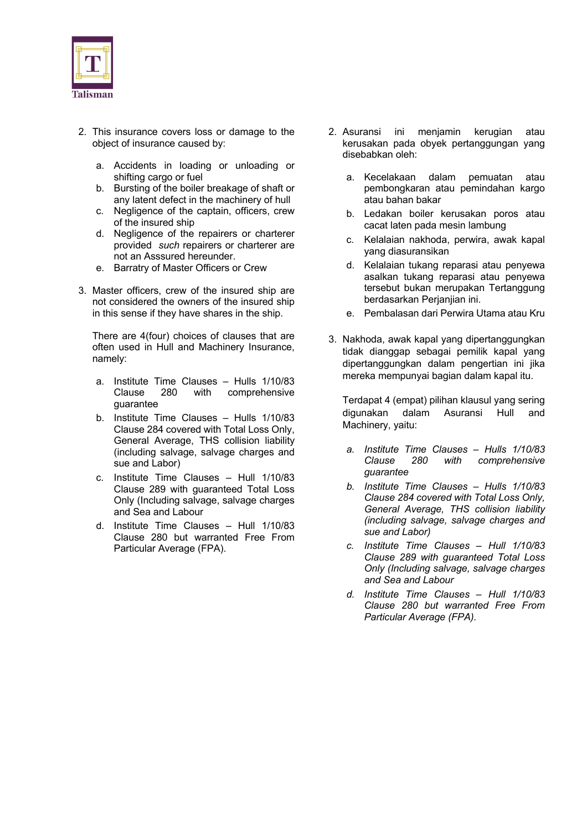

- 2. This insurance covers loss or damage to the object of insurance caused by:
	- a. Accidents in loading or unloading or shifting cargo or fuel
	- b. Bursting of the boiler breakage of shaft or any latent defect in the machinery of hull
	- c. Negligence of the captain, officers, crew of the insured ship
	- d. Negligence of the repairers or charterer provided *such* repairers or charterer are not an Asssured hereunder.
	- e. Barratry of Master Officers or Crew
- 3. Master officers, crew of the insured ship are not considered the owners of the insured ship in this sense if they have shares in the ship.

There are 4(four) choices of clauses that are often used in Hull and Machinery Insurance, namely:

- a. Institute Time Clauses Hulls 1/10/83 Clause 280 with comprehensive guarantee
- b. Institute Time Clauses Hulls 1/10/83 Clause 284 covered with Total Loss Only, General Average, THS collision liability (including salvage, salvage charges and sue and Labor)
- c. Institute Time Clauses Hull 1/10/83 Clause 289 with guaranteed Total Loss Only (Including salvage, salvage charges and Sea and Labour
- d. Institute Time Clauses Hull 1/10/83 Clause 280 but warranted Free From Particular Average (FPA).
- 2. Asuransi ini menjamin kerugian atau kerusakan pada obyek pertanggungan yang disebabkan oleh:
	- a. Kecelakaan dalam pemuatan atau pembongkaran atau pemindahan kargo atau bahan bakar
	- b. Ledakan boiler kerusakan poros atau cacat laten pada mesin lambung
	- c. Kelalaian nakhoda, perwira, awak kapal yang diasuransikan
	- d. Kelalaian tukang reparasi atau penyewa asalkan tukang reparasi atau penyewa tersebut bukan merupakan Tertanggung berdasarkan Perjanjian ini.
	- e. Pembalasan dari Perwira Utama atau Kru
- 3. Nakhoda, awak kapal yang dipertanggungkan tidak dianggap sebagai pemilik kapal yang dipertanggungkan dalam pengertian ini jika mereka mempunyai bagian dalam kapal itu.

Terdapat 4 (empat) pilihan klausul yang sering digunakan dalam Asuransi Hull and Machinery, yaitu:

- *a. Institute Time Clauses – Hulls 1/10/83 Clause 280 with comprehensive guarantee*
- *b. Institute Time Clauses – Hulls 1/10/83 Clause 284 covered with Total Loss Only, General Average, THS collision liability (including salvage, salvage charges and sue and Labor)*
- *c. Institute Time Clauses – Hull 1/10/83 Clause 289 with guaranteed Total Loss Only (Including salvage, salvage charges and Sea and Labour*
- *d. Institute Time Clauses – Hull 1/10/83 Clause 280 but warranted Free From Particular Average (FPA).*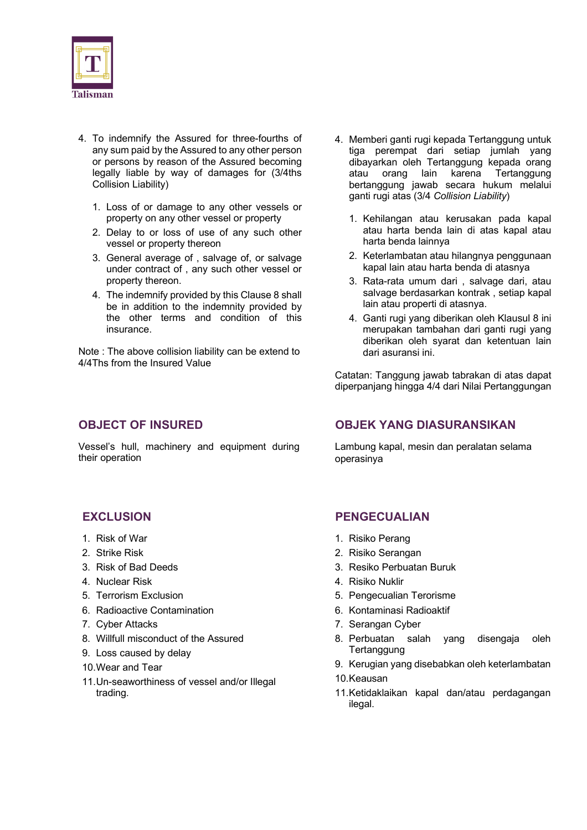

- 4. To indemnify the Assured for three-fourths of any sum paid by the Assured to any other person or persons by reason of the Assured becoming legally liable by way of damages for (3/4ths Collision Liability)
	- 1. Loss of or damage to any other vessels or property on any other vessel or property
	- 2. Delay to or loss of use of any such other vessel or property thereon
	- 3. General average of , salvage of, or salvage under contract of , any such other vessel or property thereon.
	- 4. The indemnify provided by this Clause 8 shall be in addition to the indemnity provided by the other terms and condition of this insurance.

Note : The above collision liability can be extend to 4/4Ths from the Insured Value

## **OBJECT OF INSURED**

Vessel's hull, machinery and equipment during their operation

- 4. Memberi ganti rugi kepada Tertanggung untuk tiga perempat dari setiap jumlah yang dibayarkan oleh Tertanggung kepada orang atau orang lain karena Tertanggung bertanggung jawab secara hukum melalui ganti rugi atas (3/4 *Collision Liability*)
	- 1. Kehilangan atau kerusakan pada kapal atau harta benda lain di atas kapal atau harta benda lainnya
	- 2. Keterlambatan atau hilangnya penggunaan kapal lain atau harta benda di atasnya
	- 3. Rata-rata umum dari , salvage dari, atau salvage berdasarkan kontrak , setiap kapal lain atau properti di atasnya.
	- 4. Ganti rugi yang diberikan oleh Klausul 8 ini merupakan tambahan dari ganti rugi yang diberikan oleh syarat dan ketentuan lain dari asuransi ini.

Catatan: Tanggung jawab tabrakan di atas dapat diperpanjang hingga 4/4 dari Nilai Pertanggungan

## **OBJEK YANG DIASURANSIKAN**

Lambung kapal, mesin dan peralatan selama operasinya

## **EXCLUSION**

- 1. Risk of War
- 2. Strike Risk
- 3. Risk of Bad Deeds
- 4. Nuclear Risk
- 5. Terrorism Exclusion
- 6. Radioactive Contamination
- 7. Cyber Attacks
- 8. Willfull misconduct of the Assured
- 9. Loss caused by delay
- 10.Wear and Tear
- 11.Un-seaworthiness of vessel and/or Illegal trading.

#### **PENGECUALIAN**

- 1. Risiko Perang
- 2. Risiko Serangan
- 3. Resiko Perbuatan Buruk
- 4. Risiko Nuklir
- 5. Pengecualian Terorisme
- 6. Kontaminasi Radioaktif
- 7. Serangan Cyber
- 8. Perbuatan salah yang disengaja oleh **Tertanggung**
- 9. Kerugian yang disebabkan oleh keterlambatan 10.Keausan
- 11.Ketidaklaikan kapal dan/atau perdagangan ilegal.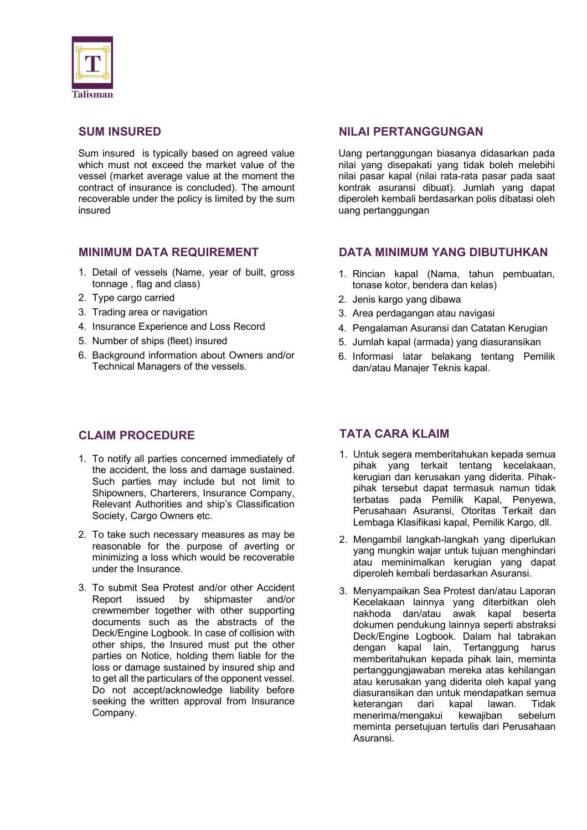

#### **SUM INSURED**

Sum insured is typically based on agreed value which must not exceed the market value of the vessel (market average value at the moment the contract of insurance is concluded). The amount recoverable under the policy is limited by the sum insured

#### **MINIMUM DATA REQUIREMENT**

- 1. Detail of vessels (Name, year of built, gross tonnage , flag and class)
- 2. Type cargo carried
- 3. Trading area or navigation
- 4. Insurance Experience and Loss Record
- 5. Number of ships (fleet) insured
- 6. Background information about Owners and/or Technical Managers of the vessels.

# **CLAIM PROCEDURE**

- 1. To notify all parties concerned immediately of the accident, the loss and damage sustained. Such parties may include but not limit to Shipowners, Charterers, Insurance Company, Relevant Authorities and ship's Classification Society, Cargo Owners etc.
- 2. To take such necessary measures as may be reasonable for the purpose of averting or minimizing a loss which would be recoverable under the Insurance.
- 3. To submit Sea Protest and/or other Accident Report issued by shipmaster and/or crewmember together with other supporting documents such as the abstracts of the Deck/Engine Logbook. In case of collision with other ships, the Insured must put the other parties on Notice, holding them liable for the loss or damage sustained by insured ship and to get all the particulars of the opponent vessel. Do not accept/acknowledge liability before seeking the written approval from Insurance Company.

## **NILAI PERTANGGUNGAN**

Uang pertanggungan biasanya didasarkan pada nilai yang disepakati yang tidak boleh melebihi nilai pasar kapal (nilai rata-rata pasar pada saat kontrak asuransi dibuat). Jumlah yang dapat diperoleh kembali berdasarkan polis dibatasi oleh uang pertanggungan

#### **DATA MINIMUM YANG DIBUTUHKAN**

- 1. Rincian kapal (Nama, tahun pembuatan, tonase kotor, bendera dan kelas)
- 2. Jenis kargo yang dibawa
- 3. Area perdagangan atau navigasi
- 4. Pengalaman Asuransi dan Catatan Kerugian
- 5. Jumlah kapal (armada) yang diasuransikan
- 6. Informasi latar belakang tentang Pemilik dan/atau Manajer Teknis kapal.

## **TATA CARA KLAIM**

- 1. Untuk segera memberitahukan kepada semua pihak yang terkait tentang kecelakaan, kerugian dan kerusakan yang diderita. Pihakpihak tersebut dapat termasuk namun tidak terbatas pada Pemilik Kapal, Penyewa, Perusahaan Asuransi, Otoritas Terkait dan Lembaga Klasifikasi kapal, Pemilik Kargo, dll.
- 2. Mengambil langkah-langkah yang diperlukan yang mungkin wajar untuk tujuan menghindari atau meminimalkan kerugian yang dapat diperoleh kembali berdasarkan Asuransi.
- 3. Menyampaikan Sea Protest dan/atau Laporan Kecelakaan lainnya yang diterbitkan oleh nakhoda dan/atau awak kapal beserta dokumen pendukung lainnya seperti abstraksi Deck/Engine Logbook. Dalam hal tabrakan dengan kapal lain, Tertanggung harus memberitahukan kepada pihak lain, meminta pertanggungjawaban mereka atas kehilangan atau kerusakan yang diderita oleh kapal yang diasuransikan dan untuk mendapatkan semua keterangan dari kapal lawan. Tidak menerima/mengakui kewajiban sebelum meminta persetujuan tertulis dari Perusahaan Asuransi.